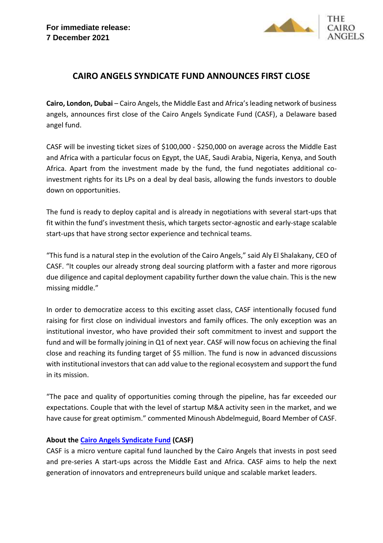

## **CAIRO ANGELS SYNDICATE FUND ANNOUNCES FIRST CLOSE**

**Cairo, London, Dubai** – Cairo Angels, the Middle East and Africa's leading network of business angels, announces first close of the Cairo Angels Syndicate Fund (CASF), a Delaware based angel fund.

CASF will be investing ticket sizes of \$100,000 - \$250,000 on average across the Middle East and Africa with a particular focus on Egypt, the UAE, Saudi Arabia, Nigeria, Kenya, and South Africa. Apart from the investment made by the fund, the fund negotiates additional coinvestment rights for its LPs on a deal by deal basis, allowing the funds investors to double down on opportunities.

The fund is ready to deploy capital and is already in negotiations with several start-ups that fit within the fund's investment thesis, which targets sector-agnostic and early-stage scalable start-ups that have strong sector experience and technical teams.

"This fund is a natural step in the evolution of the Cairo Angels," said Aly El Shalakany, CEO of CASF. "It couples our already strong deal sourcing platform with a faster and more rigorous due diligence and capital deployment capability further down the value chain. This is the new missing middle."

In order to democratize access to this exciting asset class, CASF intentionally focused fund raising for first close on individual investors and family offices. The only exception was an institutional investor, who have provided their soft commitment to invest and support the fund and will be formally joining in Q1 of next year. CASF will now focus on achieving the final close and reaching its funding target of \$5 million. The fund is now in advanced discussions with institutional investors that can add value to the regional ecosystem and support the fund in its mission.

"The pace and quality of opportunities coming through the pipeline, has far exceeded our expectations. Couple that with the level of startup M&A activity seen in the market, and we have cause for great optimism." commented Minoush Abdelmeguid, Board Member of CASF.

## **About the [Cairo Angels Syndicate Fund](http://www.casyndicate.com/) (CASF)**

CASF is a micro venture capital fund launched by the Cairo Angels that invests in post seed and pre-series A start-ups across the Middle East and Africa. CASF aims to help the next generation of innovators and entrepreneurs build unique and scalable market leaders.